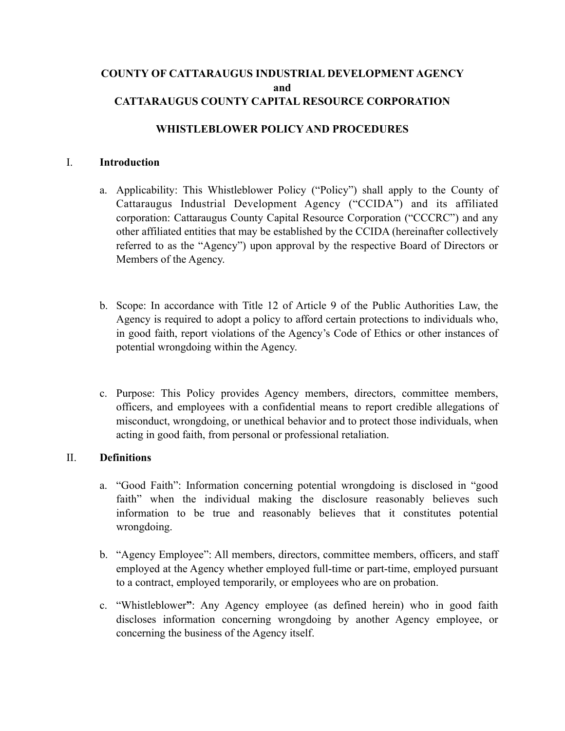# **COUNTY OF CATTARAUGUS INDUSTRIAL DEVELOPMENT AGENCY and CATTARAUGUS COUNTY CAPITAL RESOURCE CORPORATION**

#### **WHISTLEBLOWER POLICY AND PROCEDURES**

#### I. **Introduction**

- a. Applicability: This Whistleblower Policy ("Policy") shall apply to the County of Cattaraugus Industrial Development Agency ("CCIDA") and its affiliated corporation: Cattaraugus County Capital Resource Corporation ("CCCRC") and any other affiliated entities that may be established by the CCIDA (hereinafter collectively referred to as the "Agency") upon approval by the respective Board of Directors or Members of the Agency.
- b. Scope: In accordance with Title 12 of Article 9 of the Public Authorities Law, the Agency is required to adopt a policy to afford certain protections to individuals who, in good faith, report violations of the Agency's Code of Ethics or other instances of potential wrongdoing within the Agency.
- c. Purpose: This Policy provides Agency members, directors, committee members, officers, and employees with a confidential means to report credible allegations of misconduct, wrongdoing, or unethical behavior and to protect those individuals, when acting in good faith, from personal or professional retaliation.

#### II. **Definitions**

- a. "Good Faith": Information concerning potential wrongdoing is disclosed in "good faith" when the individual making the disclosure reasonably believes such information to be true and reasonably believes that it constitutes potential wrongdoing.
- b. "Agency Employee": All members, directors, committee members, officers, and staff employed at the Agency whether employed full-time or part-time, employed pursuant to a contract, employed temporarily, or employees who are on probation.
- c. "Whistleblower**"**: Any Agency employee (as defined herein) who in good faith discloses information concerning wrongdoing by another Agency employee, or concerning the business of the Agency itself.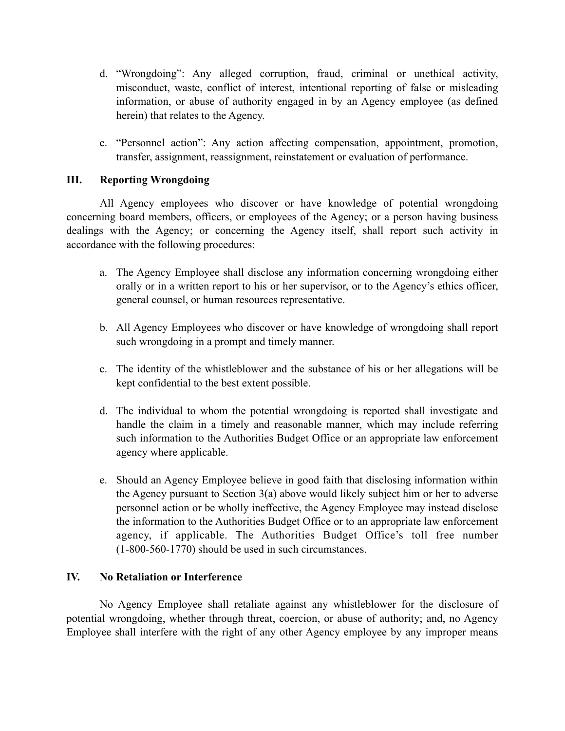- d. "Wrongdoing": Any alleged corruption, fraud, criminal or unethical activity, misconduct, waste, conflict of interest, intentional reporting of false or misleading information, or abuse of authority engaged in by an Agency employee (as defined herein) that relates to the Agency.
- e. "Personnel action": Any action affecting compensation, appointment, promotion, transfer, assignment, reassignment, reinstatement or evaluation of performance.

### **III. Reporting Wrongdoing**

All Agency employees who discover or have knowledge of potential wrongdoing concerning board members, officers, or employees of the Agency; or a person having business dealings with the Agency; or concerning the Agency itself, shall report such activity in accordance with the following procedures:

- a. The Agency Employee shall disclose any information concerning wrongdoing either orally or in a written report to his or her supervisor, or to the Agency's ethics officer, general counsel, or human resources representative.
- b. All Agency Employees who discover or have knowledge of wrongdoing shall report such wrongdoing in a prompt and timely manner.
- c. The identity of the whistleblower and the substance of his or her allegations will be kept confidential to the best extent possible.
- d. The individual to whom the potential wrongdoing is reported shall investigate and handle the claim in a timely and reasonable manner, which may include referring such information to the Authorities Budget Office or an appropriate law enforcement agency where applicable.
- e. Should an Agency Employee believe in good faith that disclosing information within the Agency pursuant to Section 3(a) above would likely subject him or her to adverse personnel action or be wholly ineffective, the Agency Employee may instead disclose the information to the Authorities Budget Office or to an appropriate law enforcement agency, if applicable. The Authorities Budget Office's toll free number (1-800-560-1770) should be used in such circumstances.

### **IV. No Retaliation or Interference**

No Agency Employee shall retaliate against any whistleblower for the disclosure of potential wrongdoing, whether through threat, coercion, or abuse of authority; and, no Agency Employee shall interfere with the right of any other Agency employee by any improper means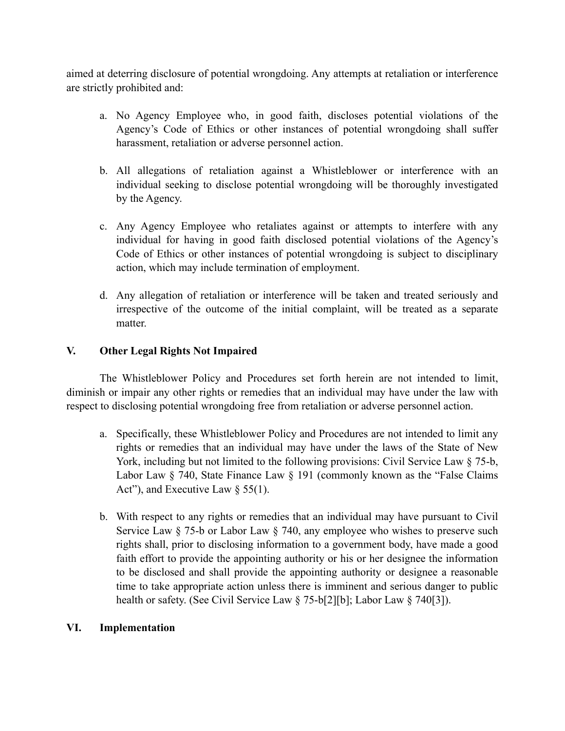aimed at deterring disclosure of potential wrongdoing. Any attempts at retaliation or interference are strictly prohibited and:

- a. No Agency Employee who, in good faith, discloses potential violations of the Agency's Code of Ethics or other instances of potential wrongdoing shall suffer harassment, retaliation or adverse personnel action.
- b. All allegations of retaliation against a Whistleblower or interference with an individual seeking to disclose potential wrongdoing will be thoroughly investigated by the Agency.
- c. Any Agency Employee who retaliates against or attempts to interfere with any individual for having in good faith disclosed potential violations of the Agency's Code of Ethics or other instances of potential wrongdoing is subject to disciplinary action, which may include termination of employment.
- d. Any allegation of retaliation or interference will be taken and treated seriously and irrespective of the outcome of the initial complaint, will be treated as a separate matter.

## **V. Other Legal Rights Not Impaired**

The Whistleblower Policy and Procedures set forth herein are not intended to limit, diminish or impair any other rights or remedies that an individual may have under the law with respect to disclosing potential wrongdoing free from retaliation or adverse personnel action.

- a. Specifically, these Whistleblower Policy and Procedures are not intended to limit any rights or remedies that an individual may have under the laws of the State of New York, including but not limited to the following provisions: Civil Service Law § 75-b, Labor Law § 740, State Finance Law § 191 (commonly known as the "False Claims" Act"), and Executive Law  $\S$  55(1).
- b. With respect to any rights or remedies that an individual may have pursuant to Civil Service Law § 75-b or Labor Law § 740, any employee who wishes to preserve such rights shall, prior to disclosing information to a government body, have made a good faith effort to provide the appointing authority or his or her designee the information to be disclosed and shall provide the appointing authority or designee a reasonable time to take appropriate action unless there is imminent and serious danger to public health or safety. (See Civil Service Law § 75-b[2][b]; Labor Law § 740[3]).

### **VI. Implementation**